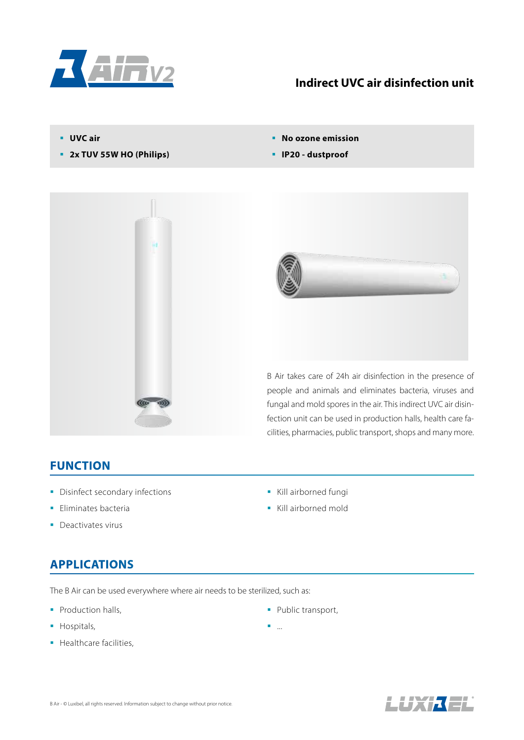

#### **Indirect UVC air disinfection unit**

- **UVC air**
- **2x TUV 55W HO (Philips)**
- **No ozone emission**
- **IP20 dustproof**





B Air takes care of 24h air disinfection in the presence of people and animals and eliminates bacteria, viruses and fungal and mold spores in the air. This indirect UVC air disinfection unit can be used in production halls, health care facilities, pharmacies, public transport, shops and many more.

#### **FUNCTION**

- **Disinfect secondary infections**
- **Eliminates bacteria**
- Deactivates virus

# **APPLICATIONS**

The B Air can be used everywhere where air needs to be sterilized, such as:

- Production halls,
- **Hospitals,**
- **Healthcare facilities,**
- Kill airborned fungi
- Kill airborned mold

• Public transport,

...

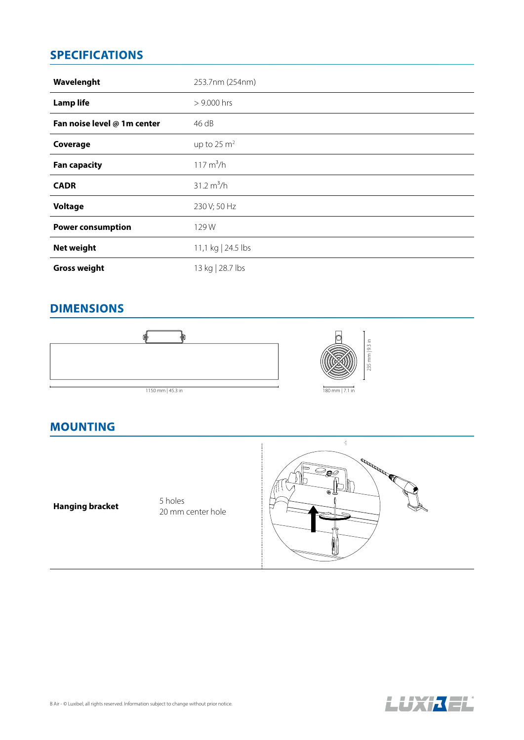### **SPECIFICATIONS**

| Wavelenght                  | 253.7nm (254nm)      |
|-----------------------------|----------------------|
| <b>Lamp life</b>            | $> 9.000$ hrs        |
| Fan noise level @ 1m center | 46 dB                |
| Coverage                    | up to 25 $m2$        |
| <b>Fan capacity</b>         | $117 \text{ m}^3/h$  |
| <b>CADR</b>                 | $31.2 \text{ m}^3/h$ |
| <b>Voltage</b>              | 230 V; 50 Hz         |
| <b>Power consumption</b>    | 129W                 |
| Net weight                  | 11,1 kg   24.5 lbs   |
| <b>Gross weight</b>         | 13 kg   28.7 lbs     |

### **DIMENSIONS**







#### **MOUNTING**

**Hanging bracket** 5 holes

20 mm center hole